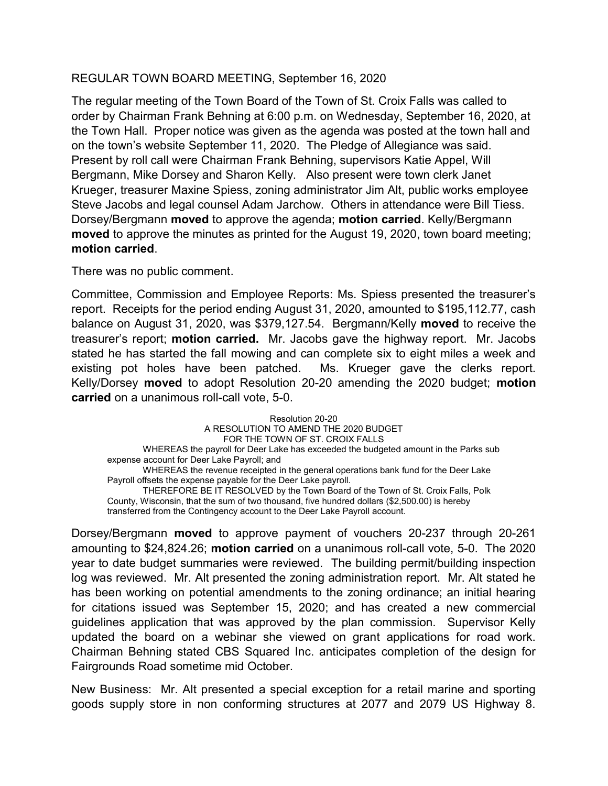## REGULAR TOWN BOARD MEETING, September 16, 2020

The regular meeting of the Town Board of the Town of St. Croix Falls was called to order by Chairman Frank Behning at 6:00 p.m. on Wednesday, September 16, 2020, at the Town Hall. Proper notice was given as the agenda was posted at the town hall and on the town's website September 11, 2020. The Pledge of Allegiance was said. Present by roll call were Chairman Frank Behning, supervisors Katie Appel, Will Bergmann, Mike Dorsey and Sharon Kelly. Also present were town clerk Janet Krueger, treasurer Maxine Spiess, zoning administrator Jim Alt, public works employee Steve Jacobs and legal counsel Adam Jarchow. Others in attendance were Bill Tiess. Dorsey/Bergmann moved to approve the agenda; motion carried. Kelly/Bergmann moved to approve the minutes as printed for the August 19, 2020, town board meeting; motion carried.

There was no public comment.

Committee, Commission and Employee Reports: Ms. Spiess presented the treasurer's report. Receipts for the period ending August 31, 2020, amounted to \$195,112.77, cash balance on August 31, 2020, was \$379,127.54. Bergmann/Kelly moved to receive the treasurer's report; motion carried. Mr. Jacobs gave the highway report. Mr. Jacobs stated he has started the fall mowing and can complete six to eight miles a week and existing pot holes have been patched. Ms. Krueger gave the clerks report. Kelly/Dorsey moved to adopt Resolution 20-20 amending the 2020 budget; motion carried on a unanimous roll-call vote, 5-0.

Resolution 20-20 A RESOLUTION TO AMEND THE 2020 BUDGET FOR THE TOWN OF ST. CROIX FALLS WHEREAS the payroll for Deer Lake has exceeded the budgeted amount in the Parks sub expense account for Deer Lake Payroll; and WHEREAS the revenue receipted in the general operations bank fund for the Deer Lake Payroll offsets the expense payable for the Deer Lake payroll. THEREFORE BE IT RESOLVED by the Town Board of the Town of St. Croix Falls, Polk County, Wisconsin, that the sum of two thousand, five hundred dollars (\$2,500.00) is hereby transferred from the Contingency account to the Deer Lake Payroll account.

Dorsey/Bergmann moved to approve payment of vouchers 20-237 through 20-261 amounting to \$24,824.26; motion carried on a unanimous roll-call vote, 5-0. The 2020 year to date budget summaries were reviewed. The building permit/building inspection log was reviewed. Mr. Alt presented the zoning administration report. Mr. Alt stated he has been working on potential amendments to the zoning ordinance; an initial hearing for citations issued was September 15, 2020; and has created a new commercial guidelines application that was approved by the plan commission. Supervisor Kelly updated the board on a webinar she viewed on grant applications for road work. Chairman Behning stated CBS Squared Inc. anticipates completion of the design for Fairgrounds Road sometime mid October.

New Business: Mr. Alt presented a special exception for a retail marine and sporting goods supply store in non conforming structures at 2077 and 2079 US Highway 8.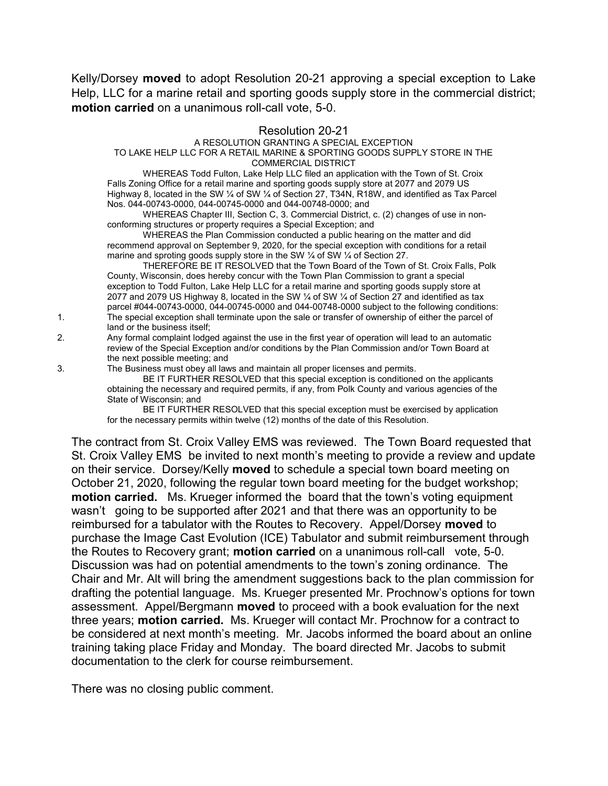Kelly/Dorsey **moved** to adopt Resolution 20-21 approving a special exception to Lake Help, LLC for a marine retail and sporting goods supply store in the commercial district; motion carried on a unanimous roll-call vote, 5-0.

## Resolution 20-21

## A RESOLUTION GRANTING A SPECIAL EXCEPTION

## TO LAKE HELP LLC FOR A RETAIL MARINE & SPORTING GOODS SUPPLY STORE IN THE COMMERCIAL DISTRICT

WHEREAS Todd Fulton, Lake Help LLC filed an application with the Town of St. Croix Falls Zoning Office for a retail marine and sporting goods supply store at 2077 and 2079 US Highway 8, located in the SW ¼ of SW ¼ of Section 27, T34N, R18W, and identified as Tax Parcel Nos. 044-00743-0000, 044-00745-0000 and 044-00748-0000; and

WHEREAS Chapter III, Section C, 3. Commercial District, c. (2) changes of use in nonconforming structures or property requires a Special Exception; and

WHEREAS the Plan Commission conducted a public hearing on the matter and did recommend approval on September 9, 2020, for the special exception with conditions for a retail marine and sproting goods supply store in the SW 1/4 of SW 1/4 of Section 27.

THEREFORE BE IT RESOLVED that the Town Board of the Town of St. Croix Falls, Polk County, Wisconsin, does hereby concur with the Town Plan Commission to grant a special exception to Todd Fulton, Lake Help LLC for a retail marine and sporting goods supply store at 2077 and 2079 US Highway 8, located in the SW ¼ of SW ¼ of Section 27 and identified as tax parcel #044-00743-0000, 044-00745-0000 and 044-00748-0000 subject to the following conditions: 1. The special exception shall terminate upon the sale or transfer of ownership of either the parcel of land or the business itself;

2. Any formal complaint lodged against the use in the first year of operation will lead to an automatic review of the Special Exception and/or conditions by the Plan Commission and/or Town Board at the next possible meeting; and

3. The Business must obey all laws and maintain all proper licenses and permits.

 BE IT FURTHER RESOLVED that this special exception is conditioned on the applicants obtaining the necessary and required permits, if any, from Polk County and various agencies of the State of Wisconsin; and

 BE IT FURTHER RESOLVED that this special exception must be exercised by application for the necessary permits within twelve (12) months of the date of this Resolution.

The contract from St. Croix Valley EMS was reviewed. The Town Board requested that St. Croix Valley EMS be invited to next month's meeting to provide a review and update on their service. Dorsey/Kelly moved to schedule a special town board meeting on October 21, 2020, following the regular town board meeting for the budget workshop; motion carried. Ms. Krueger informed the board that the town's voting equipment wasn't going to be supported after 2021 and that there was an opportunity to be reimbursed for a tabulator with the Routes to Recovery. Appel/Dorsey moved to purchase the Image Cast Evolution (ICE) Tabulator and submit reimbursement through the Routes to Recovery grant; **motion carried** on a unanimous roll-call vote, 5-0. Discussion was had on potential amendments to the town's zoning ordinance. The Chair and Mr. Alt will bring the amendment suggestions back to the plan commission for drafting the potential language. Ms. Krueger presented Mr. Prochnow's options for town assessment. Appel/Bergmann moved to proceed with a book evaluation for the next three years; motion carried. Ms. Krueger will contact Mr. Prochnow for a contract to be considered at next month's meeting. Mr. Jacobs informed the board about an online training taking place Friday and Monday. The board directed Mr. Jacobs to submit documentation to the clerk for course reimbursement.

There was no closing public comment.